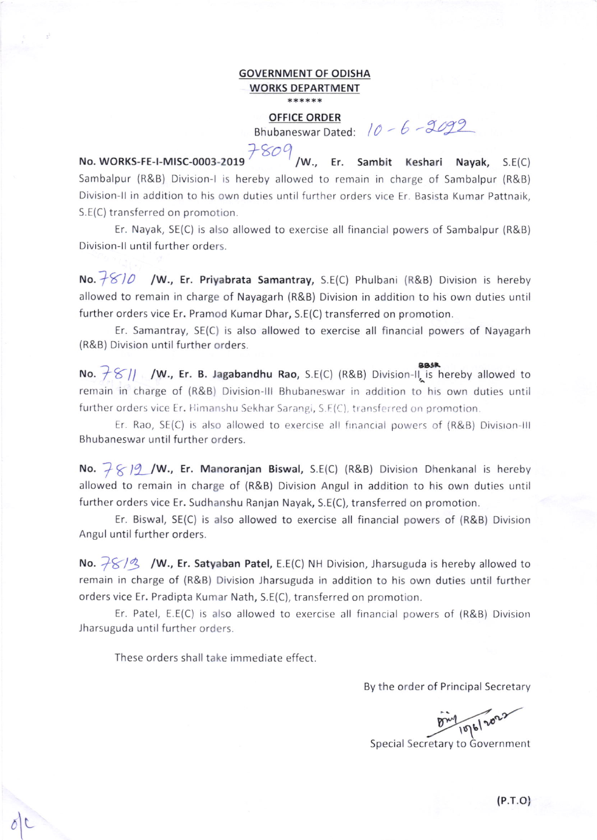## GOVERNMENT OF ODISHA WORKS DEPARTMENT

## OFFICE ORDER

Bhubaneswar Dated:  $10 - 6 - 2092$ 

73oQ No. WORKS-FE-I-MISC-0003-2019 / /W., Er. Sambit Keshari Nayak, S.E(C) Sambalpur (R&B) Division-l is hereby allowed to remain in charge of Sambalpur (R&B) Division-II in addition to his own duties until further orders vice Er. Basista Kumar Pattnaik, S.E(C) transferred on promotion.

Er. Nayak, SE(C) is also allowed to exercise all financial powers of Sambalpur (R&B) Division-II until further orders.

No.  $\frac{1}{2}$  / W., Er. Priyabrata Samantray, S.E(C) Phulbani (R&B) Division is hereby allowed to remain in charge of Nayagarh (R&B) Division in addition to his own duties until further orders vice Er. Pramod Kumar Dhar, S.E(C) transferred on promotion.

Er. Samantray, SE(C) is also allowed to exercise all financial powers of Nayagarh (R&B) Division until further orders.

No.  $\frac{1}{2}$  /  $\frac{1}{2}$  /W., Er. B. Jagabandhu Rao, S.E(C) (R&B) Division-II is hereby allowed to remain in charge of (R&B) Division-III Bhubaneswar in addition to his own duties until further orders vice Er. Himanshu Sekhar Sarangi, S.F(C), transferred on promotion

Er. Rao,  $SE(C)$  is also allowed to exercise all financial powers of  $(R&B)$  Division-III Bhubaneswar until further orders.

No.  $7812$ /W., Er. Manoranjan Biswal, S.E(C) (R&B) Division Dhenkanal is hereby allowed to remain in charge of (R&B) Division Angul in addition to his own duties until further orders vice Er, Sudhanshu Ranjan Nayak, S.E(C), transferred on promotion.

Er. Biswal, SE(C) is also allowed to exercise all financial powers of (R&B) Division Angul until further orders.

No.  $\sqrt[3]{5}/\sqrt[3]{ }$  /W., Er. Satyaban Patel, E.E(C) NH Division, Jharsuguda is hereby allowed to remain in charge of (R&B) Division Jharsuguda in addition to his own duties until further orders vice Er. Pradipta Kumar Nath, S.E(C), transferred on promotion.

Er. Patel, E.E(C) is also allowed to exercise all financial powers of (R&B) Division Jharsuguda until further orders.

These orders shall take immediate effect

L

By the order of Principal Secretary

1076/2023

Special Secretary to Government